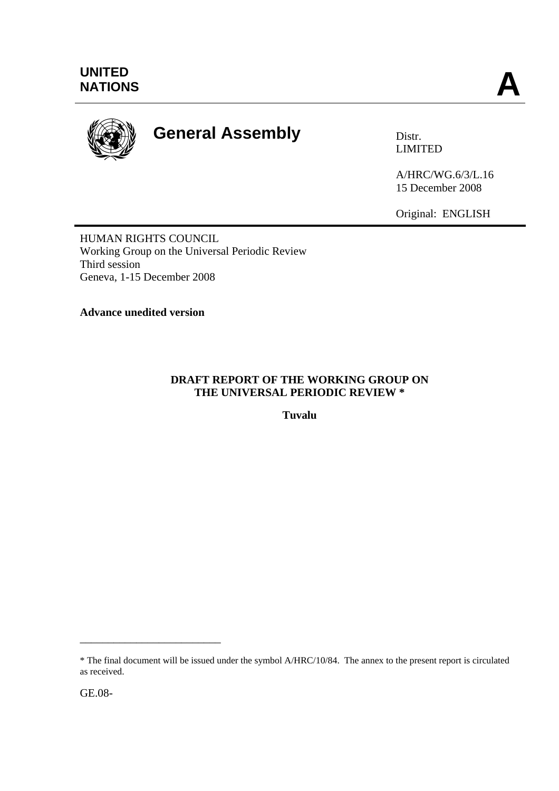

# **General Assembly Distra Distr.**

LIMITED

A/HRC/WG.6/3/L.16 15 December 2008

Original: ENGLISH

HUMAN RIGHTS COUNCIL Working Group on the Universal Periodic Review Third session Geneva, 1-15 December 2008

**Advance unedited version**

## **DRAFT REPORT OF THE WORKING GROUP ON THE UNIVERSAL PERIODIC REVIEW \***

**Tuvalu** 

\_\_\_\_\_\_\_\_\_\_\_\_\_\_\_\_\_\_\_\_\_\_\_\_\_

<sup>\*</sup> The final document will be issued under the symbol A/HRC/10/84. The annex to the present report is circulated as received.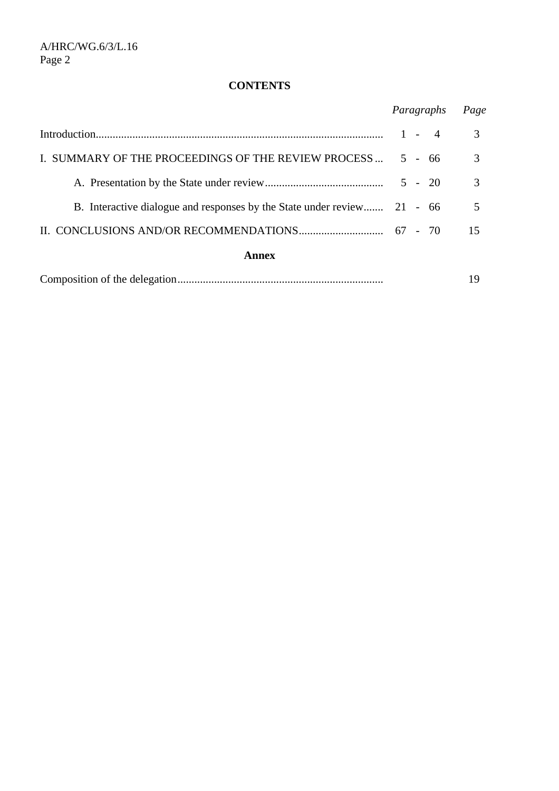## **CONTENTS**

|                                                                         | Paragraphs |  |                | Page |
|-------------------------------------------------------------------------|------------|--|----------------|------|
|                                                                         | $1 -$      |  | $\overline{4}$ | 3    |
| I. SUMMARY OF THE PROCEEDINGS OF THE REVIEW PROCESS                     |            |  | $5 - 66$       | 3    |
|                                                                         |            |  | $5 - 20$       | 3    |
| B. Interactive dialogue and responses by the State under review 21 - 66 |            |  |                |      |
|                                                                         |            |  |                | 15   |
| Annex                                                                   |            |  |                |      |

|--|--|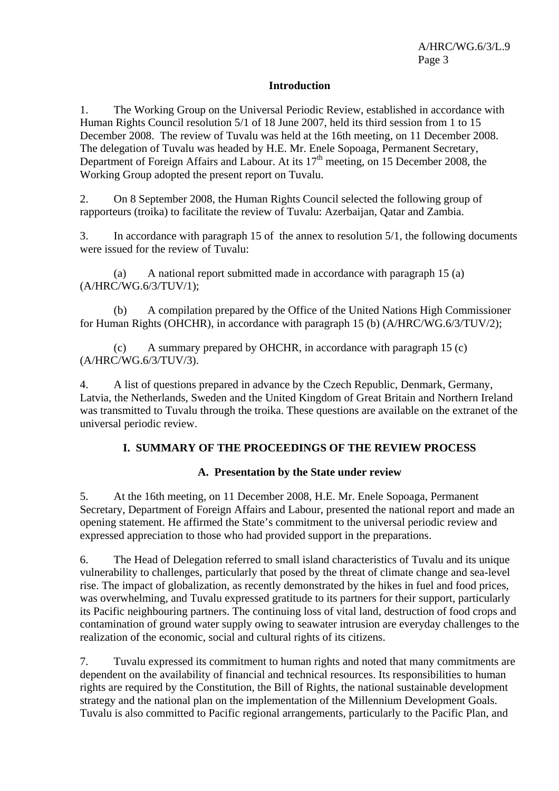## **Introduction**

1. The Working Group on the Universal Periodic Review, established in accordance with Human Rights Council resolution 5/1 of 18 June 2007, held its third session from 1 to 15 December 2008. The review of Tuvalu was held at the 16th meeting, on 11 December 2008. The delegation of Tuvalu was headed by H.E. Mr. Enele Sopoaga, Permanent Secretary, Department of Foreign Affairs and Labour. At its  $17<sup>th</sup>$  meeting, on 15 December 2008, the Working Group adopted the present report on Tuvalu.

2. On 8 September 2008, the Human Rights Council selected the following group of rapporteurs (troika) to facilitate the review of Tuvalu: Azerbaijan, Qatar and Zambia.

3. In accordance with paragraph 15 of the annex to resolution 5/1, the following documents were issued for the review of Tuvalu:

 (a) A national report submitted made in accordance with paragraph 15 (a) (A/HRC/WG.6/3/TUV/1);

 (b) A compilation prepared by the Office of the United Nations High Commissioner for Human Rights (OHCHR), in accordance with paragraph 15 (b) (A/HRC/WG.6/3/TUV/2);

 (c) A summary prepared by OHCHR, in accordance with paragraph 15 (c) (A/HRC/WG.6/3/TUV/3).

4. A list of questions prepared in advance by the Czech Republic, Denmark, Germany, Latvia, the Netherlands, Sweden and the United Kingdom of Great Britain and Northern Ireland was transmitted to Tuvalu through the troika. These questions are available on the extranet of the universal periodic review.

## **I. SUMMARY OF THE PROCEEDINGS OF THE REVIEW PROCESS**

### **A. Presentation by the State under review**

5. At the 16th meeting, on 11 December 2008, H.E. Mr. Enele Sopoaga, Permanent Secretary, Department of Foreign Affairs and Labour, presented the national report and made an opening statement. He affirmed the State's commitment to the universal periodic review and expressed appreciation to those who had provided support in the preparations.

6. The Head of Delegation referred to small island characteristics of Tuvalu and its unique vulnerability to challenges, particularly that posed by the threat of climate change and sea-level rise. The impact of globalization, as recently demonstrated by the hikes in fuel and food prices, was overwhelming, and Tuvalu expressed gratitude to its partners for their support, particularly its Pacific neighbouring partners. The continuing loss of vital land, destruction of food crops and contamination of ground water supply owing to seawater intrusion are everyday challenges to the realization of the economic, social and cultural rights of its citizens.

7. Tuvalu expressed its commitment to human rights and noted that many commitments are dependent on the availability of financial and technical resources. Its responsibilities to human rights are required by the Constitution, the Bill of Rights, the national sustainable development strategy and the national plan on the implementation of the Millennium Development Goals. Tuvalu is also committed to Pacific regional arrangements, particularly to the Pacific Plan, and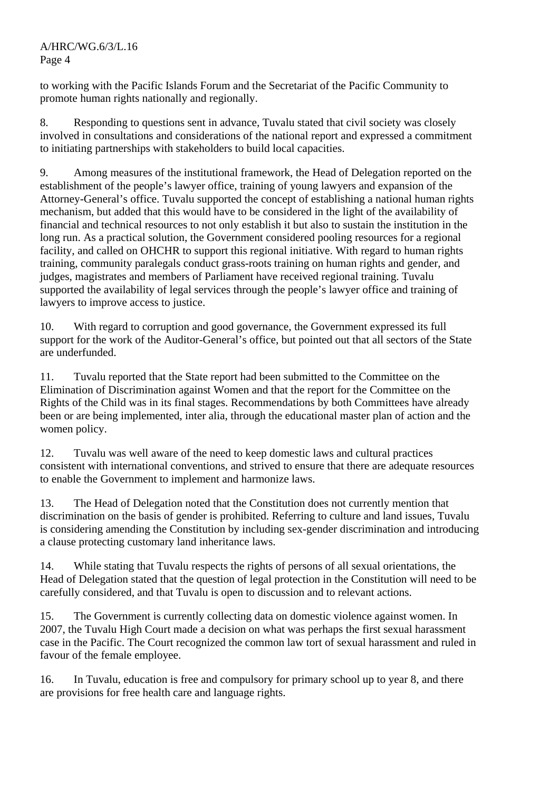A/HRC/WG.6/3/L.16 Page 4

to working with the Pacific Islands Forum and the Secretariat of the Pacific Community to promote human rights nationally and regionally.

8. Responding to questions sent in advance, Tuvalu stated that civil society was closely involved in consultations and considerations of the national report and expressed a commitment to initiating partnerships with stakeholders to build local capacities.

9. Among measures of the institutional framework, the Head of Delegation reported on the establishment of the people's lawyer office, training of young lawyers and expansion of the Attorney-General's office. Tuvalu supported the concept of establishing a national human rights mechanism, but added that this would have to be considered in the light of the availability of financial and technical resources to not only establish it but also to sustain the institution in the long run. As a practical solution, the Government considered pooling resources for a regional facility, and called on OHCHR to support this regional initiative. With regard to human rights training, community paralegals conduct grass-roots training on human rights and gender, and judges, magistrates and members of Parliament have received regional training. Tuvalu supported the availability of legal services through the people's lawyer office and training of lawyers to improve access to justice.

10. With regard to corruption and good governance, the Government expressed its full support for the work of the Auditor-General's office, but pointed out that all sectors of the State are underfunded.

11. Tuvalu reported that the State report had been submitted to the Committee on the Elimination of Discrimination against Women and that the report for the Committee on the Rights of the Child was in its final stages. Recommendations by both Committees have already been or are being implemented, inter alia, through the educational master plan of action and the women policy.

12. Tuvalu was well aware of the need to keep domestic laws and cultural practices consistent with international conventions, and strived to ensure that there are adequate resources to enable the Government to implement and harmonize laws.

13. The Head of Delegation noted that the Constitution does not currently mention that discrimination on the basis of gender is prohibited. Referring to culture and land issues, Tuvalu is considering amending the Constitution by including sex-gender discrimination and introducing a clause protecting customary land inheritance laws.

14. While stating that Tuvalu respects the rights of persons of all sexual orientations, the Head of Delegation stated that the question of legal protection in the Constitution will need to be carefully considered, and that Tuvalu is open to discussion and to relevant actions.

15. The Government is currently collecting data on domestic violence against women. In 2007, the Tuvalu High Court made a decision on what was perhaps the first sexual harassment case in the Pacific. The Court recognized the common law tort of sexual harassment and ruled in favour of the female employee.

16. In Tuvalu, education is free and compulsory for primary school up to year 8, and there are provisions for free health care and language rights.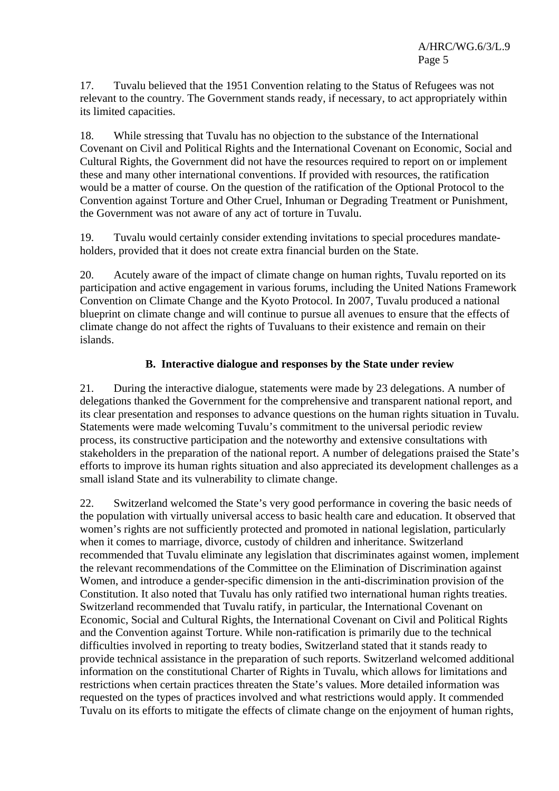17. Tuvalu believed that the 1951 Convention relating to the Status of Refugees was not relevant to the country. The Government stands ready, if necessary, to act appropriately within its limited capacities.

18. While stressing that Tuvalu has no objection to the substance of the International Covenant on Civil and Political Rights and the International Covenant on Economic, Social and Cultural Rights, the Government did not have the resources required to report on or implement these and many other international conventions. If provided with resources, the ratification would be a matter of course. On the question of the ratification of the Optional Protocol to the Convention against Torture and Other Cruel, Inhuman or Degrading Treatment or Punishment, the Government was not aware of any act of torture in Tuvalu.

19. Tuvalu would certainly consider extending invitations to special procedures mandateholders, provided that it does not create extra financial burden on the State.

20. Acutely aware of the impact of climate change on human rights, Tuvalu reported on its participation and active engagement in various forums, including the United Nations Framework Convention on Climate Change and the Kyoto Protocol. In 2007, Tuvalu produced a national blueprint on climate change and will continue to pursue all avenues to ensure that the effects of climate change do not affect the rights of Tuvaluans to their existence and remain on their islands.

## **B. Interactive dialogue and responses by the State under review**

21. During the interactive dialogue, statements were made by 23 delegations. A number of delegations thanked the Government for the comprehensive and transparent national report, and its clear presentation and responses to advance questions on the human rights situation in Tuvalu. Statements were made welcoming Tuvalu's commitment to the universal periodic review process, its constructive participation and the noteworthy and extensive consultations with stakeholders in the preparation of the national report. A number of delegations praised the State's efforts to improve its human rights situation and also appreciated its development challenges as a small island State and its vulnerability to climate change.

22. Switzerland welcomed the State's very good performance in covering the basic needs of the population with virtually universal access to basic health care and education. It observed that women's rights are not sufficiently protected and promoted in national legislation, particularly when it comes to marriage, divorce, custody of children and inheritance. Switzerland recommended that Tuvalu eliminate any legislation that discriminates against women, implement the relevant recommendations of the Committee on the Elimination of Discrimination against Women, and introduce a gender-specific dimension in the anti-discrimination provision of the Constitution. It also noted that Tuvalu has only ratified two international human rights treaties. Switzerland recommended that Tuvalu ratify, in particular, the International Covenant on Economic, Social and Cultural Rights, the International Covenant on Civil and Political Rights and the Convention against Torture. While non-ratification is primarily due to the technical difficulties involved in reporting to treaty bodies, Switzerland stated that it stands ready to provide technical assistance in the preparation of such reports. Switzerland welcomed additional information on the constitutional Charter of Rights in Tuvalu, which allows for limitations and restrictions when certain practices threaten the State's values. More detailed information was requested on the types of practices involved and what restrictions would apply. It commended Tuvalu on its efforts to mitigate the effects of climate change on the enjoyment of human rights,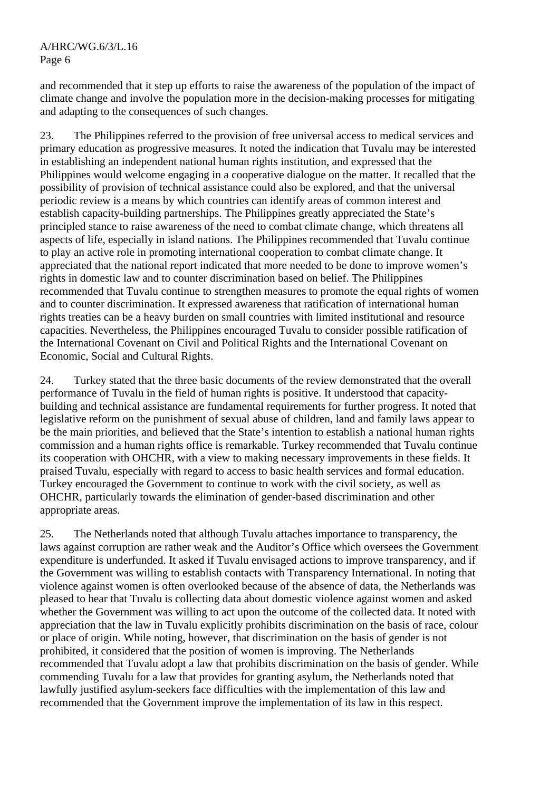and recommended that it step up efforts to raise the awareness of the population of the impact of climate change and involve the population more in the decision-making processes for mitigating and adapting to the consequences of such changes.

23. The Philippines referred to the provision of free universal access to medical services and primary education as progressive measures. It noted the indication that Tuvalu may be interested in establishing an independent national human rights institution, and expressed that the Philippines would welcome engaging in a cooperative dialogue on the matter. It recalled that the possibility of provision of technical assistance could also be explored, and that the universal periodic review is a means by which countries can identify areas of common interest and establish capacity-building partnerships. The Philippines greatly appreciated the State's principled stance to raise awareness of the need to combat climate change, which threatens all aspects of life, especially in island nations. The Philippines recommended that Tuvalu continue to play an active role in promoting international cooperation to combat climate change. It appreciated that the national report indicated that more needed to be done to improve women's rights in domestic law and to counter discrimination based on belief. The Philippines recommended that Tuvalu continue to strengthen measures to promote the equal rights of women and to counter discrimination. It expressed awareness that ratification of international human rights treaties can be a heavy burden on small countries with limited institutional and resource capacities. Nevertheless, the Philippines encouraged Tuvalu to consider possible ratification of the International Covenant on Civil and Political Rights and the International Covenant on Economic, Social and Cultural Rights.

24. Turkey stated that the three basic documents of the review demonstrated that the overall performance of Tuvalu in the field of human rights is positive. It understood that capacitybuilding and technical assistance are fundamental requirements for further progress. It noted that legislative reform on the punishment of sexual abuse of children, land and family laws appear to be the main priorities, and believed that the State's intention to establish a national human rights commission and a human rights office is remarkable. Turkey recommended that Tuvalu continue its cooperation with OHCHR, with a view to making necessary improvements in these fields. It praised Tuvalu, especially with regard to access to basic health services and formal education. Turkey encouraged the Government to continue to work with the civil society, as well as OHCHR, particularly towards the elimination of gender-based discrimination and other appropriate areas.

25. The Netherlands noted that although Tuvalu attaches importance to transparency, the laws against corruption are rather weak and the Auditor's Office which oversees the Government expenditure is underfunded. It asked if Tuvalu envisaged actions to improve transparency, and if the Government was willing to establish contacts with Transparency International. In noting that violence against women is often overlooked because of the absence of data, the Netherlands was pleased to hear that Tuvalu is collecting data about domestic violence against women and asked whether the Government was willing to act upon the outcome of the collected data. It noted with appreciation that the law in Tuvalu explicitly prohibits discrimination on the basis of race, colour or place of origin. While noting, however, that discrimination on the basis of gender is not prohibited, it considered that the position of women is improving. The Netherlands recommended that Tuvalu adopt a law that prohibits discrimination on the basis of gender. While commending Tuvalu for a law that provides for granting asylum, the Netherlands noted that lawfully justified asylum-seekers face difficulties with the implementation of this law and recommended that the Government improve the implementation of its law in this respect.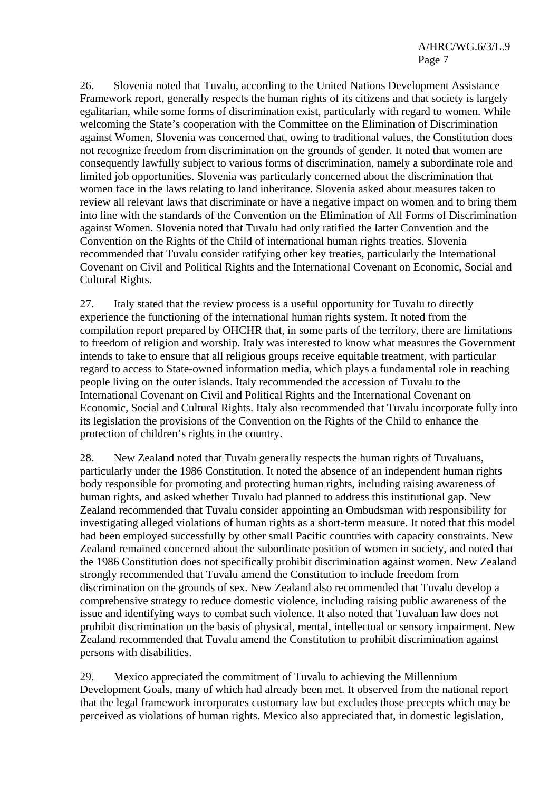26. Slovenia noted that Tuvalu, according to the United Nations Development Assistance Framework report, generally respects the human rights of its citizens and that society is largely egalitarian, while some forms of discrimination exist, particularly with regard to women. While welcoming the State's cooperation with the Committee on the Elimination of Discrimination against Women, Slovenia was concerned that, owing to traditional values, the Constitution does not recognize freedom from discrimination on the grounds of gender. It noted that women are consequently lawfully subject to various forms of discrimination, namely a subordinate role and limited job opportunities. Slovenia was particularly concerned about the discrimination that women face in the laws relating to land inheritance. Slovenia asked about measures taken to review all relevant laws that discriminate or have a negative impact on women and to bring them into line with the standards of the Convention on the Elimination of All Forms of Discrimination against Women. Slovenia noted that Tuvalu had only ratified the latter Convention and the Convention on the Rights of the Child of international human rights treaties. Slovenia recommended that Tuvalu consider ratifying other key treaties, particularly the International Covenant on Civil and Political Rights and the International Covenant on Economic, Social and Cultural Rights.

27. Italy stated that the review process is a useful opportunity for Tuvalu to directly experience the functioning of the international human rights system. It noted from the compilation report prepared by OHCHR that, in some parts of the territory, there are limitations to freedom of religion and worship. Italy was interested to know what measures the Government intends to take to ensure that all religious groups receive equitable treatment, with particular regard to access to State-owned information media, which plays a fundamental role in reaching people living on the outer islands. Italy recommended the accession of Tuvalu to the International Covenant on Civil and Political Rights and the International Covenant on Economic, Social and Cultural Rights. Italy also recommended that Tuvalu incorporate fully into its legislation the provisions of the Convention on the Rights of the Child to enhance the protection of children's rights in the country.

28. New Zealand noted that Tuvalu generally respects the human rights of Tuvaluans, particularly under the 1986 Constitution. It noted the absence of an independent human rights body responsible for promoting and protecting human rights, including raising awareness of human rights, and asked whether Tuvalu had planned to address this institutional gap. New Zealand recommended that Tuvalu consider appointing an Ombudsman with responsibility for investigating alleged violations of human rights as a short-term measure. It noted that this model had been employed successfully by other small Pacific countries with capacity constraints. New Zealand remained concerned about the subordinate position of women in society, and noted that the 1986 Constitution does not specifically prohibit discrimination against women. New Zealand strongly recommended that Tuvalu amend the Constitution to include freedom from discrimination on the grounds of sex. New Zealand also recommended that Tuvalu develop a comprehensive strategy to reduce domestic violence, including raising public awareness of the issue and identifying ways to combat such violence. It also noted that Tuvaluan law does not prohibit discrimination on the basis of physical, mental, intellectual or sensory impairment. New Zealand recommended that Tuvalu amend the Constitution to prohibit discrimination against persons with disabilities.

29. Mexico appreciated the commitment of Tuvalu to achieving the Millennium Development Goals, many of which had already been met. It observed from the national report that the legal framework incorporates customary law but excludes those precepts which may be perceived as violations of human rights. Mexico also appreciated that, in domestic legislation,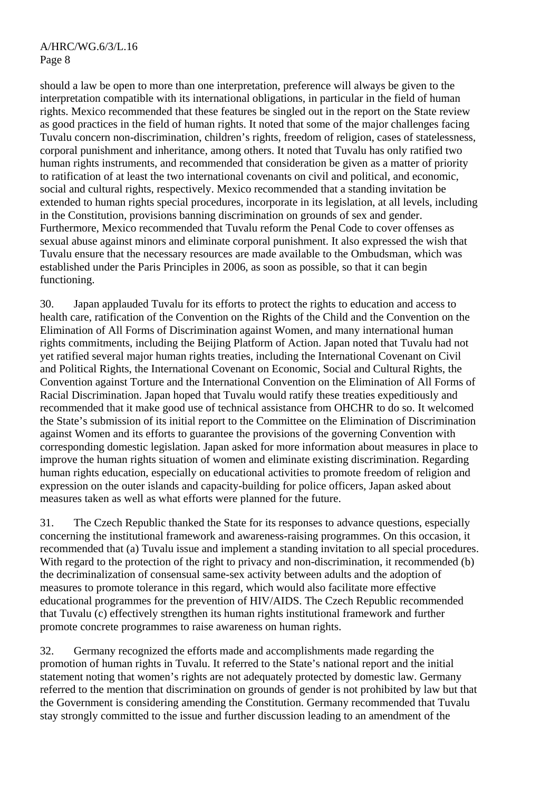should a law be open to more than one interpretation, preference will always be given to the interpretation compatible with its international obligations, in particular in the field of human rights. Mexico recommended that these features be singled out in the report on the State review as good practices in the field of human rights. It noted that some of the major challenges facing Tuvalu concern non-discrimination, children's rights, freedom of religion, cases of statelessness, corporal punishment and inheritance, among others. It noted that Tuvalu has only ratified two human rights instruments, and recommended that consideration be given as a matter of priority to ratification of at least the two international covenants on civil and political, and economic, social and cultural rights, respectively. Mexico recommended that a standing invitation be extended to human rights special procedures, incorporate in its legislation, at all levels, including in the Constitution, provisions banning discrimination on grounds of sex and gender. Furthermore, Mexico recommended that Tuvalu reform the Penal Code to cover offenses as sexual abuse against minors and eliminate corporal punishment. It also expressed the wish that Tuvalu ensure that the necessary resources are made available to the Ombudsman, which was established under the Paris Principles in 2006, as soon as possible, so that it can begin functioning.

30. Japan applauded Tuvalu for its efforts to protect the rights to education and access to health care, ratification of the Convention on the Rights of the Child and the Convention on the Elimination of All Forms of Discrimination against Women, and many international human rights commitments, including the Beijing Platform of Action. Japan noted that Tuvalu had not yet ratified several major human rights treaties, including the International Covenant on Civil and Political Rights, the International Covenant on Economic, Social and Cultural Rights, the Convention against Torture and the International Convention on the Elimination of All Forms of Racial Discrimination. Japan hoped that Tuvalu would ratify these treaties expeditiously and recommended that it make good use of technical assistance from OHCHR to do so. It welcomed the State's submission of its initial report to the Committee on the Elimination of Discrimination against Women and its efforts to guarantee the provisions of the governing Convention with corresponding domestic legislation. Japan asked for more information about measures in place to improve the human rights situation of women and eliminate existing discrimination. Regarding human rights education, especially on educational activities to promote freedom of religion and expression on the outer islands and capacity-building for police officers, Japan asked about measures taken as well as what efforts were planned for the future.

31. The Czech Republic thanked the State for its responses to advance questions, especially concerning the institutional framework and awareness-raising programmes. On this occasion, it recommended that (a) Tuvalu issue and implement a standing invitation to all special procedures. With regard to the protection of the right to privacy and non-discrimination, it recommended (b) the decriminalization of consensual same-sex activity between adults and the adoption of measures to promote tolerance in this regard, which would also facilitate more effective educational programmes for the prevention of HIV/AIDS. The Czech Republic recommended that Tuvalu (c) effectively strengthen its human rights institutional framework and further promote concrete programmes to raise awareness on human rights.

32. Germany recognized the efforts made and accomplishments made regarding the promotion of human rights in Tuvalu. It referred to the State's national report and the initial statement noting that women's rights are not adequately protected by domestic law. Germany referred to the mention that discrimination on grounds of gender is not prohibited by law but that the Government is considering amending the Constitution. Germany recommended that Tuvalu stay strongly committed to the issue and further discussion leading to an amendment of the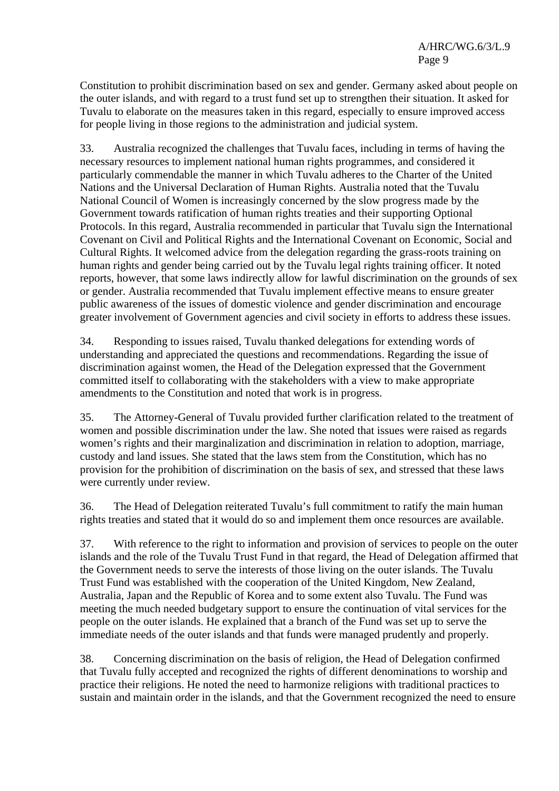Constitution to prohibit discrimination based on sex and gender. Germany asked about people on the outer islands, and with regard to a trust fund set up to strengthen their situation. It asked for Tuvalu to elaborate on the measures taken in this regard, especially to ensure improved access for people living in those regions to the administration and judicial system.

33. Australia recognized the challenges that Tuvalu faces, including in terms of having the necessary resources to implement national human rights programmes, and considered it particularly commendable the manner in which Tuvalu adheres to the Charter of the United Nations and the Universal Declaration of Human Rights. Australia noted that the Tuvalu National Council of Women is increasingly concerned by the slow progress made by the Government towards ratification of human rights treaties and their supporting Optional Protocols. In this regard, Australia recommended in particular that Tuvalu sign the International Covenant on Civil and Political Rights and the International Covenant on Economic, Social and Cultural Rights. It welcomed advice from the delegation regarding the grass-roots training on human rights and gender being carried out by the Tuvalu legal rights training officer. It noted reports, however, that some laws indirectly allow for lawful discrimination on the grounds of sex or gender. Australia recommended that Tuvalu implement effective means to ensure greater public awareness of the issues of domestic violence and gender discrimination and encourage greater involvement of Government agencies and civil society in efforts to address these issues.

34. Responding to issues raised, Tuvalu thanked delegations for extending words of understanding and appreciated the questions and recommendations. Regarding the issue of discrimination against women, the Head of the Delegation expressed that the Government committed itself to collaborating with the stakeholders with a view to make appropriate amendments to the Constitution and noted that work is in progress.

35. The Attorney-General of Tuvalu provided further clarification related to the treatment of women and possible discrimination under the law. She noted that issues were raised as regards women's rights and their marginalization and discrimination in relation to adoption, marriage, custody and land issues. She stated that the laws stem from the Constitution, which has no provision for the prohibition of discrimination on the basis of sex, and stressed that these laws were currently under review.

36. The Head of Delegation reiterated Tuvalu's full commitment to ratify the main human rights treaties and stated that it would do so and implement them once resources are available.

37. With reference to the right to information and provision of services to people on the outer islands and the role of the Tuvalu Trust Fund in that regard, the Head of Delegation affirmed that the Government needs to serve the interests of those living on the outer islands. The Tuvalu Trust Fund was established with the cooperation of the United Kingdom, New Zealand, Australia, Japan and the Republic of Korea and to some extent also Tuvalu. The Fund was meeting the much needed budgetary support to ensure the continuation of vital services for the people on the outer islands. He explained that a branch of the Fund was set up to serve the immediate needs of the outer islands and that funds were managed prudently and properly.

38. Concerning discrimination on the basis of religion, the Head of Delegation confirmed that Tuvalu fully accepted and recognized the rights of different denominations to worship and practice their religions. He noted the need to harmonize religions with traditional practices to sustain and maintain order in the islands, and that the Government recognized the need to ensure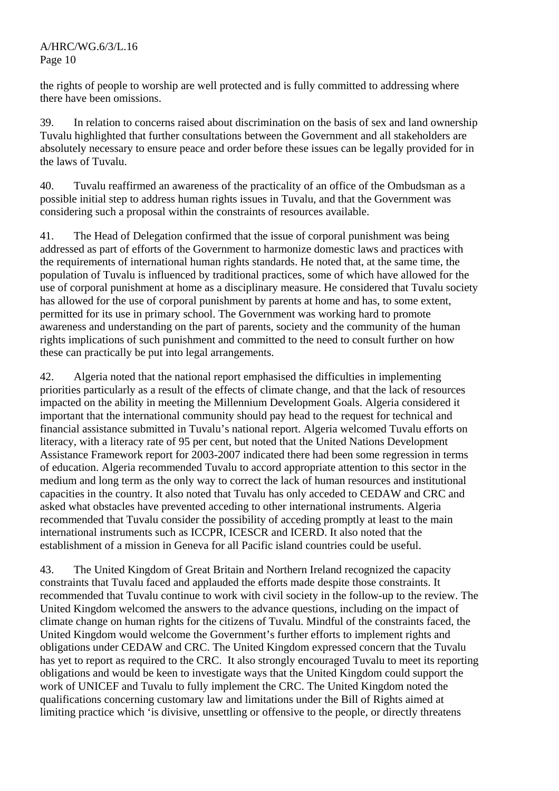the rights of people to worship are well protected and is fully committed to addressing where there have been omissions.

39. In relation to concerns raised about discrimination on the basis of sex and land ownership Tuvalu highlighted that further consultations between the Government and all stakeholders are absolutely necessary to ensure peace and order before these issues can be legally provided for in the laws of Tuvalu.

40. Tuvalu reaffirmed an awareness of the practicality of an office of the Ombudsman as a possible initial step to address human rights issues in Tuvalu, and that the Government was considering such a proposal within the constraints of resources available.

41. The Head of Delegation confirmed that the issue of corporal punishment was being addressed as part of efforts of the Government to harmonize domestic laws and practices with the requirements of international human rights standards. He noted that, at the same time, the population of Tuvalu is influenced by traditional practices, some of which have allowed for the use of corporal punishment at home as a disciplinary measure. He considered that Tuvalu society has allowed for the use of corporal punishment by parents at home and has, to some extent, permitted for its use in primary school. The Government was working hard to promote awareness and understanding on the part of parents, society and the community of the human rights implications of such punishment and committed to the need to consult further on how these can practically be put into legal arrangements.

42. Algeria noted that the national report emphasised the difficulties in implementing priorities particularly as a result of the effects of climate change, and that the lack of resources impacted on the ability in meeting the Millennium Development Goals. Algeria considered it important that the international community should pay head to the request for technical and financial assistance submitted in Tuvalu's national report. Algeria welcomed Tuvalu efforts on literacy, with a literacy rate of 95 per cent, but noted that the United Nations Development Assistance Framework report for 2003-2007 indicated there had been some regression in terms of education. Algeria recommended Tuvalu to accord appropriate attention to this sector in the medium and long term as the only way to correct the lack of human resources and institutional capacities in the country. It also noted that Tuvalu has only acceded to CEDAW and CRC and asked what obstacles have prevented acceding to other international instruments. Algeria recommended that Tuvalu consider the possibility of acceding promptly at least to the main international instruments such as ICCPR, ICESCR and ICERD. It also noted that the establishment of a mission in Geneva for all Pacific island countries could be useful.

43. The United Kingdom of Great Britain and Northern Ireland recognized the capacity constraints that Tuvalu faced and applauded the efforts made despite those constraints. It recommended that Tuvalu continue to work with civil society in the follow-up to the review. The United Kingdom welcomed the answers to the advance questions, including on the impact of climate change on human rights for the citizens of Tuvalu. Mindful of the constraints faced, the United Kingdom would welcome the Government's further efforts to implement rights and obligations under CEDAW and CRC. The United Kingdom expressed concern that the Tuvalu has yet to report as required to the CRC. It also strongly encouraged Tuvalu to meet its reporting obligations and would be keen to investigate ways that the United Kingdom could support the work of UNICEF and Tuvalu to fully implement the CRC. The United Kingdom noted the qualifications concerning customary law and limitations under the Bill of Rights aimed at limiting practice which 'is divisive, unsettling or offensive to the people, or directly threatens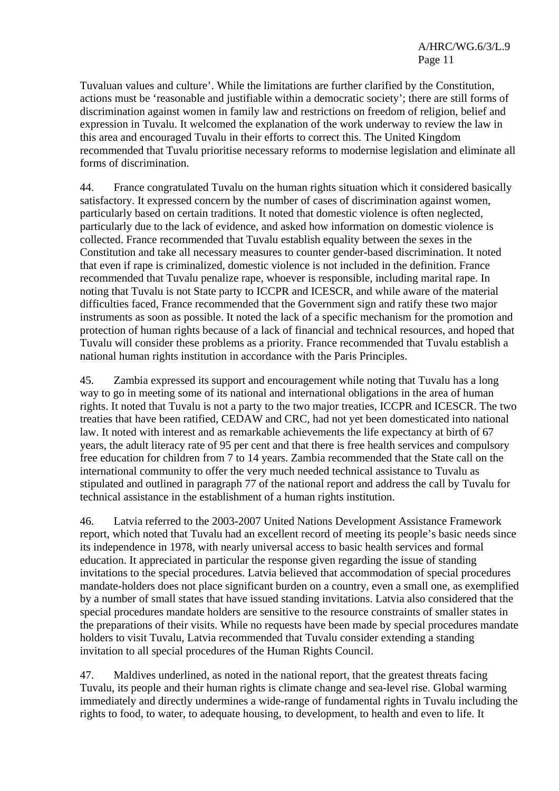Tuvaluan values and culture'. While the limitations are further clarified by the Constitution, actions must be 'reasonable and justifiable within a democratic society'; there are still forms of discrimination against women in family law and restrictions on freedom of religion, belief and expression in Tuvalu. It welcomed the explanation of the work underway to review the law in this area and encouraged Tuvalu in their efforts to correct this. The United Kingdom recommended that Tuvalu prioritise necessary reforms to modernise legislation and eliminate all forms of discrimination.

44. France congratulated Tuvalu on the human rights situation which it considered basically satisfactory. It expressed concern by the number of cases of discrimination against women, particularly based on certain traditions. It noted that domestic violence is often neglected, particularly due to the lack of evidence, and asked how information on domestic violence is collected. France recommended that Tuvalu establish equality between the sexes in the Constitution and take all necessary measures to counter gender-based discrimination. It noted that even if rape is criminalized, domestic violence is not included in the definition. France recommended that Tuvalu penalize rape, whoever is responsible, including marital rape. In noting that Tuvalu is not State party to ICCPR and ICESCR, and while aware of the material difficulties faced, France recommended that the Government sign and ratify these two major instruments as soon as possible. It noted the lack of a specific mechanism for the promotion and protection of human rights because of a lack of financial and technical resources, and hoped that Tuvalu will consider these problems as a priority. France recommended that Tuvalu establish a national human rights institution in accordance with the Paris Principles.

45. Zambia expressed its support and encouragement while noting that Tuvalu has a long way to go in meeting some of its national and international obligations in the area of human rights. It noted that Tuvalu is not a party to the two major treaties, ICCPR and ICESCR. The two treaties that have been ratified, CEDAW and CRC, had not yet been domesticated into national law. It noted with interest and as remarkable achievements the life expectancy at birth of 67 years, the adult literacy rate of 95 per cent and that there is free health services and compulsory free education for children from 7 to 14 years. Zambia recommended that the State call on the international community to offer the very much needed technical assistance to Tuvalu as stipulated and outlined in paragraph 77 of the national report and address the call by Tuvalu for technical assistance in the establishment of a human rights institution.

46. Latvia referred to the 2003-2007 United Nations Development Assistance Framework report, which noted that Tuvalu had an excellent record of meeting its people's basic needs since its independence in 1978, with nearly universal access to basic health services and formal education. It appreciated in particular the response given regarding the issue of standing invitations to the special procedures. Latvia believed that accommodation of special procedures mandate-holders does not place significant burden on a country, even a small one, as exemplified by a number of small states that have issued standing invitations. Latvia also considered that the special procedures mandate holders are sensitive to the resource constraints of smaller states in the preparations of their visits. While no requests have been made by special procedures mandate holders to visit Tuvalu, Latvia recommended that Tuvalu consider extending a standing invitation to all special procedures of the Human Rights Council.

47. Maldives underlined, as noted in the national report, that the greatest threats facing Tuvalu, its people and their human rights is climate change and sea-level rise. Global warming immediately and directly undermines a wide-range of fundamental rights in Tuvalu including the rights to food, to water, to adequate housing, to development, to health and even to life. It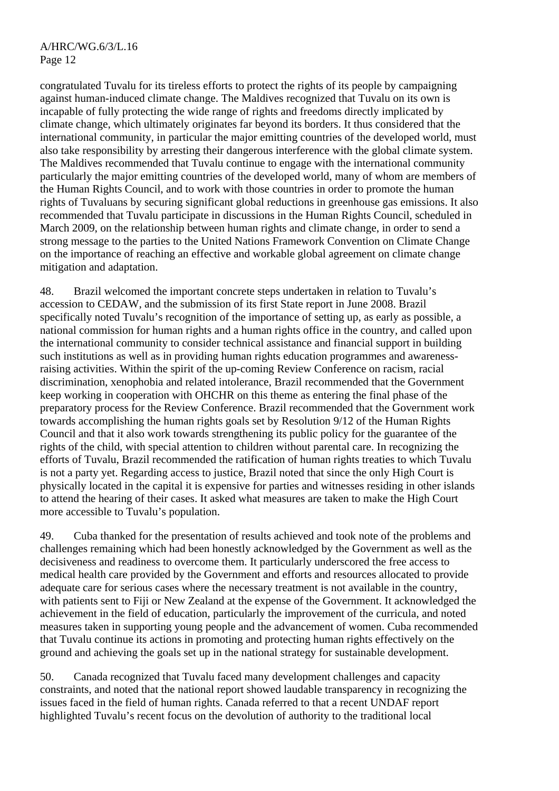congratulated Tuvalu for its tireless efforts to protect the rights of its people by campaigning against human-induced climate change. The Maldives recognized that Tuvalu on its own is incapable of fully protecting the wide range of rights and freedoms directly implicated by climate change, which ultimately originates far beyond its borders. It thus considered that the international community, in particular the major emitting countries of the developed world, must also take responsibility by arresting their dangerous interference with the global climate system. The Maldives recommended that Tuvalu continue to engage with the international community particularly the major emitting countries of the developed world, many of whom are members of the Human Rights Council, and to work with those countries in order to promote the human rights of Tuvaluans by securing significant global reductions in greenhouse gas emissions. It also recommended that Tuvalu participate in discussions in the Human Rights Council, scheduled in March 2009, on the relationship between human rights and climate change, in order to send a strong message to the parties to the United Nations Framework Convention on Climate Change on the importance of reaching an effective and workable global agreement on climate change mitigation and adaptation.

48. Brazil welcomed the important concrete steps undertaken in relation to Tuvalu's accession to CEDAW, and the submission of its first State report in June 2008. Brazil specifically noted Tuvalu's recognition of the importance of setting up, as early as possible, a national commission for human rights and a human rights office in the country, and called upon the international community to consider technical assistance and financial support in building such institutions as well as in providing human rights education programmes and awarenessraising activities. Within the spirit of the up-coming Review Conference on racism, racial discrimination, xenophobia and related intolerance, Brazil recommended that the Government keep working in cooperation with OHCHR on this theme as entering the final phase of the preparatory process for the Review Conference. Brazil recommended that the Government work towards accomplishing the human rights goals set by Resolution 9/12 of the Human Rights Council and that it also work towards strengthening its public policy for the guarantee of the rights of the child, with special attention to children without parental care. In recognizing the efforts of Tuvalu, Brazil recommended the ratification of human rights treaties to which Tuvalu is not a party yet. Regarding access to justice, Brazil noted that since the only High Court is physically located in the capital it is expensive for parties and witnesses residing in other islands to attend the hearing of their cases. It asked what measures are taken to make the High Court more accessible to Tuvalu's population.

49. Cuba thanked for the presentation of results achieved and took note of the problems and challenges remaining which had been honestly acknowledged by the Government as well as the decisiveness and readiness to overcome them. It particularly underscored the free access to medical health care provided by the Government and efforts and resources allocated to provide adequate care for serious cases where the necessary treatment is not available in the country, with patients sent to Fiji or New Zealand at the expense of the Government. It acknowledged the achievement in the field of education, particularly the improvement of the curricula, and noted measures taken in supporting young people and the advancement of women. Cuba recommended that Tuvalu continue its actions in promoting and protecting human rights effectively on the ground and achieving the goals set up in the national strategy for sustainable development.

50. Canada recognized that Tuvalu faced many development challenges and capacity constraints, and noted that the national report showed laudable transparency in recognizing the issues faced in the field of human rights. Canada referred to that a recent UNDAF report highlighted Tuvalu's recent focus on the devolution of authority to the traditional local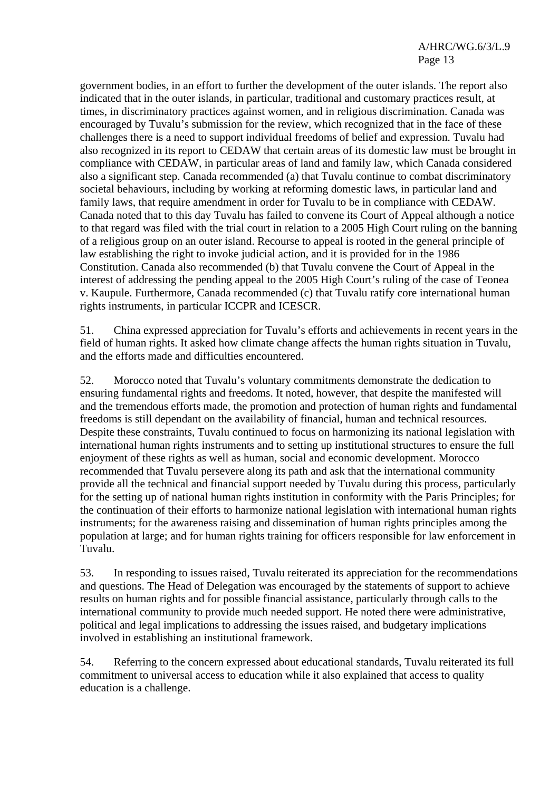government bodies, in an effort to further the development of the outer islands. The report also indicated that in the outer islands, in particular, traditional and customary practices result, at times, in discriminatory practices against women, and in religious discrimination. Canada was encouraged by Tuvalu's submission for the review, which recognized that in the face of these challenges there is a need to support individual freedoms of belief and expression. Tuvalu had also recognized in its report to CEDAW that certain areas of its domestic law must be brought in compliance with CEDAW, in particular areas of land and family law, which Canada considered also a significant step. Canada recommended (a) that Tuvalu continue to combat discriminatory societal behaviours, including by working at reforming domestic laws, in particular land and family laws, that require amendment in order for Tuvalu to be in compliance with CEDAW. Canada noted that to this day Tuvalu has failed to convene its Court of Appeal although a notice to that regard was filed with the trial court in relation to a 2005 High Court ruling on the banning of a religious group on an outer island. Recourse to appeal is rooted in the general principle of law establishing the right to invoke judicial action, and it is provided for in the 1986 Constitution. Canada also recommended (b) that Tuvalu convene the Court of Appeal in the interest of addressing the pending appeal to the 2005 High Court's ruling of the case of Teonea v. Kaupule. Furthermore, Canada recommended (c) that Tuvalu ratify core international human rights instruments, in particular ICCPR and ICESCR.

51. China expressed appreciation for Tuvalu's efforts and achievements in recent years in the field of human rights. It asked how climate change affects the human rights situation in Tuvalu, and the efforts made and difficulties encountered.

52. Morocco noted that Tuvalu's voluntary commitments demonstrate the dedication to ensuring fundamental rights and freedoms. It noted, however, that despite the manifested will and the tremendous efforts made, the promotion and protection of human rights and fundamental freedoms is still dependant on the availability of financial, human and technical resources. Despite these constraints, Tuvalu continued to focus on harmonizing its national legislation with international human rights instruments and to setting up institutional structures to ensure the full enjoyment of these rights as well as human, social and economic development. Morocco recommended that Tuvalu persevere along its path and ask that the international community provide all the technical and financial support needed by Tuvalu during this process, particularly for the setting up of national human rights institution in conformity with the Paris Principles; for the continuation of their efforts to harmonize national legislation with international human rights instruments; for the awareness raising and dissemination of human rights principles among the population at large; and for human rights training for officers responsible for law enforcement in Tuvalu.

53. In responding to issues raised, Tuvalu reiterated its appreciation for the recommendations and questions. The Head of Delegation was encouraged by the statements of support to achieve results on human rights and for possible financial assistance, particularly through calls to the international community to provide much needed support. He noted there were administrative, political and legal implications to addressing the issues raised, and budgetary implications involved in establishing an institutional framework.

54. Referring to the concern expressed about educational standards, Tuvalu reiterated its full commitment to universal access to education while it also explained that access to quality education is a challenge.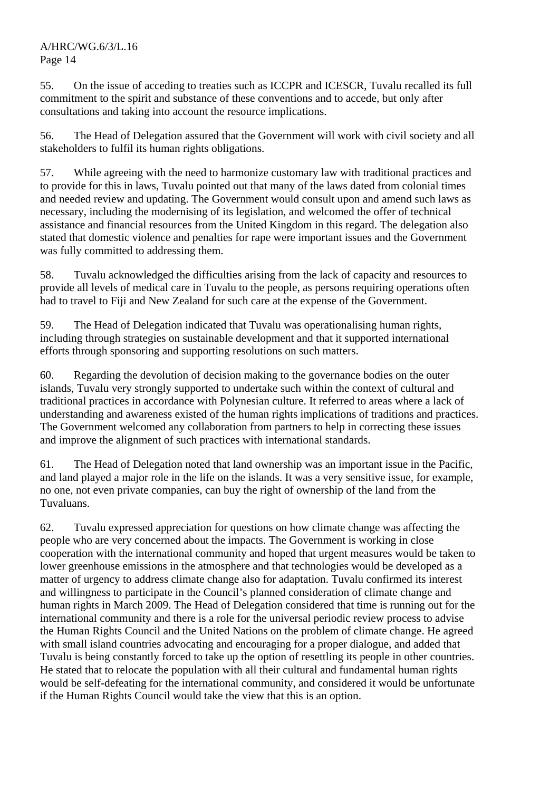A/HRC/WG.6/3/L.16 Page 14

55. On the issue of acceding to treaties such as ICCPR and ICESCR, Tuvalu recalled its full commitment to the spirit and substance of these conventions and to accede, but only after consultations and taking into account the resource implications.

56. The Head of Delegation assured that the Government will work with civil society and all stakeholders to fulfil its human rights obligations.

57. While agreeing with the need to harmonize customary law with traditional practices and to provide for this in laws, Tuvalu pointed out that many of the laws dated from colonial times and needed review and updating. The Government would consult upon and amend such laws as necessary, including the modernising of its legislation, and welcomed the offer of technical assistance and financial resources from the United Kingdom in this regard. The delegation also stated that domestic violence and penalties for rape were important issues and the Government was fully committed to addressing them.

58. Tuvalu acknowledged the difficulties arising from the lack of capacity and resources to provide all levels of medical care in Tuvalu to the people, as persons requiring operations often had to travel to Fiji and New Zealand for such care at the expense of the Government.

59. The Head of Delegation indicated that Tuvalu was operationalising human rights, including through strategies on sustainable development and that it supported international efforts through sponsoring and supporting resolutions on such matters.

60. Regarding the devolution of decision making to the governance bodies on the outer islands, Tuvalu very strongly supported to undertake such within the context of cultural and traditional practices in accordance with Polynesian culture. It referred to areas where a lack of understanding and awareness existed of the human rights implications of traditions and practices. The Government welcomed any collaboration from partners to help in correcting these issues and improve the alignment of such practices with international standards.

61. The Head of Delegation noted that land ownership was an important issue in the Pacific, and land played a major role in the life on the islands. It was a very sensitive issue, for example, no one, not even private companies, can buy the right of ownership of the land from the Tuvaluans.

62. Tuvalu expressed appreciation for questions on how climate change was affecting the people who are very concerned about the impacts. The Government is working in close cooperation with the international community and hoped that urgent measures would be taken to lower greenhouse emissions in the atmosphere and that technologies would be developed as a matter of urgency to address climate change also for adaptation. Tuvalu confirmed its interest and willingness to participate in the Council's planned consideration of climate change and human rights in March 2009. The Head of Delegation considered that time is running out for the international community and there is a role for the universal periodic review process to advise the Human Rights Council and the United Nations on the problem of climate change. He agreed with small island countries advocating and encouraging for a proper dialogue, and added that Tuvalu is being constantly forced to take up the option of resettling its people in other countries. He stated that to relocate the population with all their cultural and fundamental human rights would be self-defeating for the international community, and considered it would be unfortunate if the Human Rights Council would take the view that this is an option.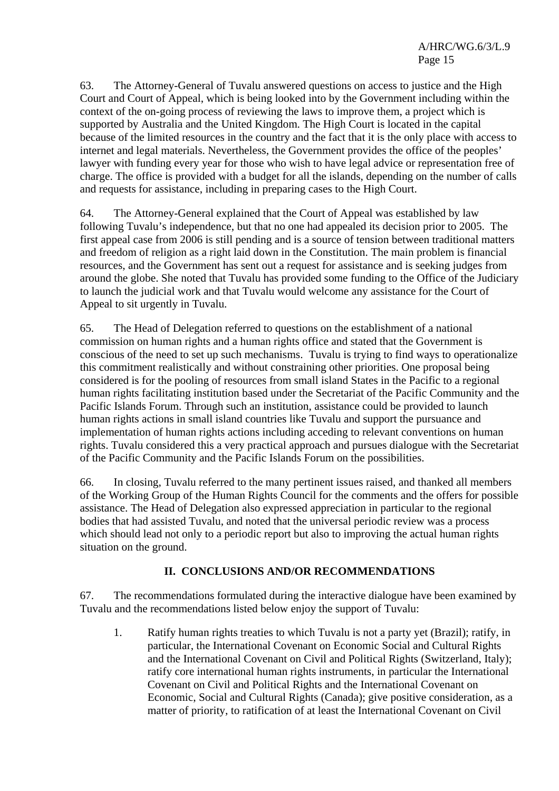63. The Attorney-General of Tuvalu answered questions on access to justice and the High Court and Court of Appeal, which is being looked into by the Government including within the context of the on-going process of reviewing the laws to improve them, a project which is supported by Australia and the United Kingdom. The High Court is located in the capital because of the limited resources in the country and the fact that it is the only place with access to internet and legal materials. Nevertheless, the Government provides the office of the peoples' lawyer with funding every year for those who wish to have legal advice or representation free of charge. The office is provided with a budget for all the islands, depending on the number of calls and requests for assistance, including in preparing cases to the High Court.

64. The Attorney-General explained that the Court of Appeal was established by law following Tuvalu's independence, but that no one had appealed its decision prior to 2005. The first appeal case from 2006 is still pending and is a source of tension between traditional matters and freedom of religion as a right laid down in the Constitution. The main problem is financial resources, and the Government has sent out a request for assistance and is seeking judges from around the globe. She noted that Tuvalu has provided some funding to the Office of the Judiciary to launch the judicial work and that Tuvalu would welcome any assistance for the Court of Appeal to sit urgently in Tuvalu.

65. The Head of Delegation referred to questions on the establishment of a national commission on human rights and a human rights office and stated that the Government is conscious of the need to set up such mechanisms. Tuvalu is trying to find ways to operationalize this commitment realistically and without constraining other priorities. One proposal being considered is for the pooling of resources from small island States in the Pacific to a regional human rights facilitating institution based under the Secretariat of the Pacific Community and the Pacific Islands Forum. Through such an institution, assistance could be provided to launch human rights actions in small island countries like Tuvalu and support the pursuance and implementation of human rights actions including acceding to relevant conventions on human rights. Tuvalu considered this a very practical approach and pursues dialogue with the Secretariat of the Pacific Community and the Pacific Islands Forum on the possibilities.

66. In closing, Tuvalu referred to the many pertinent issues raised, and thanked all members of the Working Group of the Human Rights Council for the comments and the offers for possible assistance. The Head of Delegation also expressed appreciation in particular to the regional bodies that had assisted Tuvalu, and noted that the universal periodic review was a process which should lead not only to a periodic report but also to improving the actual human rights situation on the ground.

## **II. CONCLUSIONS AND/OR RECOMMENDATIONS**

67. The recommendations formulated during the interactive dialogue have been examined by Tuvalu and the recommendations listed below enjoy the support of Tuvalu:

1. Ratify human rights treaties to which Tuvalu is not a party yet (Brazil); ratify, in particular, the International Covenant on Economic Social and Cultural Rights and the International Covenant on Civil and Political Rights (Switzerland, Italy); ratify core international human rights instruments, in particular the International Covenant on Civil and Political Rights and the International Covenant on Economic, Social and Cultural Rights (Canada); give positive consideration, as a matter of priority, to ratification of at least the International Covenant on Civil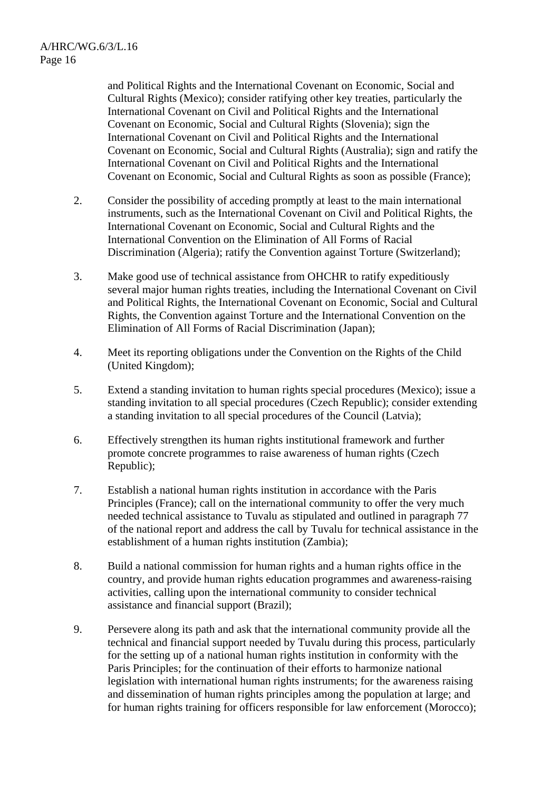and Political Rights and the International Covenant on Economic, Social and Cultural Rights (Mexico); consider ratifying other key treaties, particularly the International Covenant on Civil and Political Rights and the International Covenant on Economic, Social and Cultural Rights (Slovenia); sign the International Covenant on Civil and Political Rights and the International Covenant on Economic, Social and Cultural Rights (Australia); sign and ratify the International Covenant on Civil and Political Rights and the International Covenant on Economic, Social and Cultural Rights as soon as possible (France);

- 2. Consider the possibility of acceding promptly at least to the main international instruments, such as the International Covenant on Civil and Political Rights, the International Covenant on Economic, Social and Cultural Rights and the International Convention on the Elimination of All Forms of Racial Discrimination (Algeria); ratify the Convention against Torture (Switzerland);
- 3. Make good use of technical assistance from OHCHR to ratify expeditiously several major human rights treaties, including the International Covenant on Civil and Political Rights, the International Covenant on Economic, Social and Cultural Rights, the Convention against Torture and the International Convention on the Elimination of All Forms of Racial Discrimination (Japan);
- 4. Meet its reporting obligations under the Convention on the Rights of the Child (United Kingdom);
- 5. Extend a standing invitation to human rights special procedures (Mexico); issue a standing invitation to all special procedures (Czech Republic); consider extending a standing invitation to all special procedures of the Council (Latvia);
- 6. Effectively strengthen its human rights institutional framework and further promote concrete programmes to raise awareness of human rights (Czech Republic);
- 7. Establish a national human rights institution in accordance with the Paris Principles (France); call on the international community to offer the very much needed technical assistance to Tuvalu as stipulated and outlined in paragraph 77 of the national report and address the call by Tuvalu for technical assistance in the establishment of a human rights institution (Zambia);
- 8. Build a national commission for human rights and a human rights office in the country, and provide human rights education programmes and awareness-raising activities, calling upon the international community to consider technical assistance and financial support (Brazil);
- 9. Persevere along its path and ask that the international community provide all the technical and financial support needed by Tuvalu during this process, particularly for the setting up of a national human rights institution in conformity with the Paris Principles; for the continuation of their efforts to harmonize national legislation with international human rights instruments; for the awareness raising and dissemination of human rights principles among the population at large; and for human rights training for officers responsible for law enforcement (Morocco);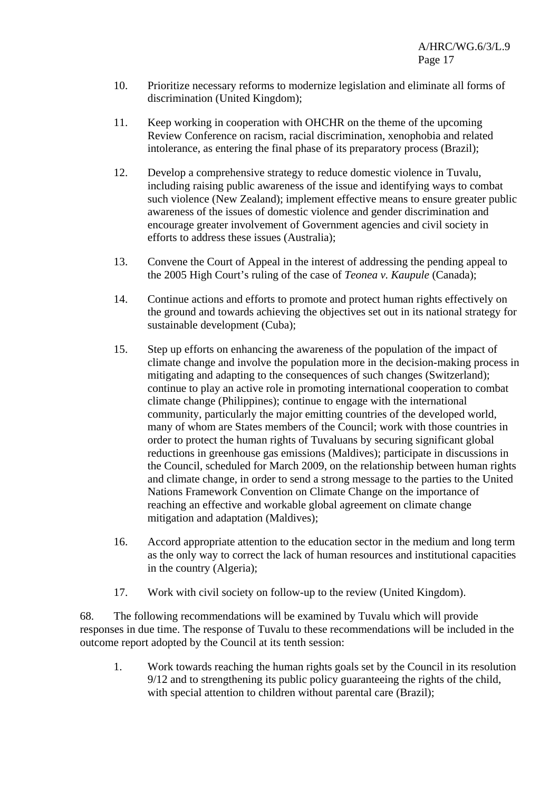- 10. Prioritize necessary reforms to modernize legislation and eliminate all forms of discrimination (United Kingdom);
- 11. Keep working in cooperation with OHCHR on the theme of the upcoming Review Conference on racism, racial discrimination, xenophobia and related intolerance, as entering the final phase of its preparatory process (Brazil);
- 12. Develop a comprehensive strategy to reduce domestic violence in Tuvalu, including raising public awareness of the issue and identifying ways to combat such violence (New Zealand); implement effective means to ensure greater public awareness of the issues of domestic violence and gender discrimination and encourage greater involvement of Government agencies and civil society in efforts to address these issues (Australia);
- 13. Convene the Court of Appeal in the interest of addressing the pending appeal to the 2005 High Court's ruling of the case of *Teonea v. Kaupule* (Canada);
- 14. Continue actions and efforts to promote and protect human rights effectively on the ground and towards achieving the objectives set out in its national strategy for sustainable development (Cuba);
- 15. Step up efforts on enhancing the awareness of the population of the impact of climate change and involve the population more in the decision-making process in mitigating and adapting to the consequences of such changes (Switzerland); continue to play an active role in promoting international cooperation to combat climate change (Philippines); continue to engage with the international community, particularly the major emitting countries of the developed world, many of whom are States members of the Council; work with those countries in order to protect the human rights of Tuvaluans by securing significant global reductions in greenhouse gas emissions (Maldives); participate in discussions in the Council, scheduled for March 2009, on the relationship between human rights and climate change, in order to send a strong message to the parties to the United Nations Framework Convention on Climate Change on the importance of reaching an effective and workable global agreement on climate change mitigation and adaptation (Maldives);
- 16. Accord appropriate attention to the education sector in the medium and long term as the only way to correct the lack of human resources and institutional capacities in the country (Algeria);
- 17. Work with civil society on follow-up to the review (United Kingdom).

68. The following recommendations will be examined by Tuvalu which will provide responses in due time. The response of Tuvalu to these recommendations will be included in the outcome report adopted by the Council at its tenth session:

1. Work towards reaching the human rights goals set by the Council in its resolution 9/12 and to strengthening its public policy guaranteeing the rights of the child, with special attention to children without parental care (Brazil);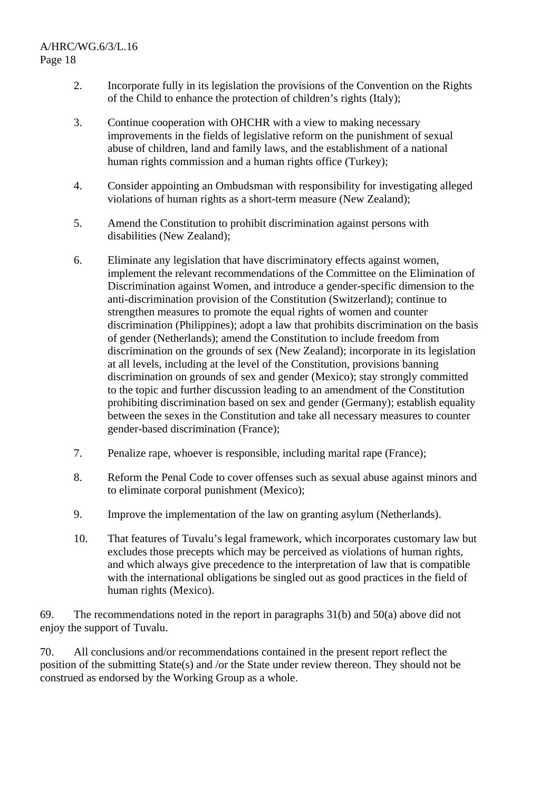- 2. Incorporate fully in its legislation the provisions of the Convention on the Rights of the Child to enhance the protection of children's rights (Italy);
- 3. Continue cooperation with OHCHR with a view to making necessary improvements in the fields of legislative reform on the punishment of sexual abuse of children, land and family laws, and the establishment of a national human rights commission and a human rights office (Turkey);
- 4. Consider appointing an Ombudsman with responsibility for investigating alleged violations of human rights as a short-term measure (New Zealand);
- 5. Amend the Constitution to prohibit discrimination against persons with disabilities (New Zealand);
- 6. Eliminate any legislation that have discriminatory effects against women, implement the relevant recommendations of the Committee on the Elimination of Discrimination against Women, and introduce a gender-specific dimension to the anti-discrimination provision of the Constitution (Switzerland); continue to strengthen measures to promote the equal rights of women and counter discrimination (Philippines); adopt a law that prohibits discrimination on the basis of gender (Netherlands); amend the Constitution to include freedom from discrimination on the grounds of sex (New Zealand); incorporate in its legislation at all levels, including at the level of the Constitution, provisions banning discrimination on grounds of sex and gender (Mexico); stay strongly committed to the topic and further discussion leading to an amendment of the Constitution prohibiting discrimination based on sex and gender (Germany); establish equality between the sexes in the Constitution and take all necessary measures to counter gender-based discrimination (France);
- 7. Penalize rape, whoever is responsible, including marital rape (France);
- 8. Reform the Penal Code to cover offenses such as sexual abuse against minors and to eliminate corporal punishment (Mexico);
- 9. Improve the implementation of the law on granting asylum (Netherlands).
- 10. That features of Tuvalu's legal framework, which incorporates customary law but excludes those precepts which may be perceived as violations of human rights, and which always give precedence to the interpretation of law that is compatible with the international obligations be singled out as good practices in the field of human rights (Mexico).

69. The recommendations noted in the report in paragraphs 31(b) and 50(a) above did not enjoy the support of Tuvalu.

70. All conclusions and/or recommendations contained in the present report reflect the position of the submitting State(s) and /or the State under review thereon. They should not be construed as endorsed by the Working Group as a whole.